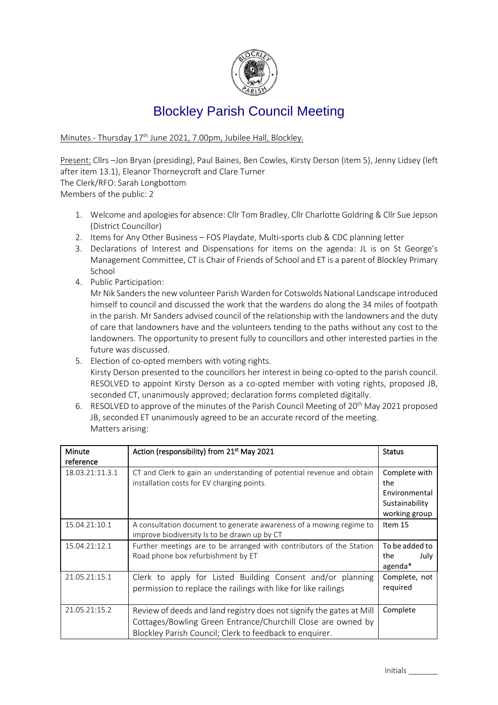

## Blockley Parish Council Meeting

Minutes - Thursday 17<sup>th</sup> June 2021, 7.00pm, Jubilee Hall, Blockley.

Present: Cllrs –Jon Bryan (presiding), Paul Baines, Ben Cowles, Kirsty Derson (item 5), Jenny Lidsey (left after item 13.1), Eleanor Thorneycroft and Clare Turner

The Clerk/RFO: Sarah Longbottom

Members of the public: 2

- 1. Welcome and apologies for absence: Cllr Tom Bradley, Cllr Charlotte Goldring & Cllr Sue Jepson (District Councillor)
- 2. Items for Any Other Business FOS Playdate, Multi-sports club & CDC planning letter
- 3. Declarations of Interest and Dispensations for items on the agenda: JL is on St George's Management Committee, CT is Chair of Friends of School and ET is a parent of Blockley Primary School
- 4. Public Participation:

Mr Nik Sanders the new volunteer Parish Warden for Cotswolds National Landscape introduced himself to council and discussed the work that the wardens do along the 34 miles of footpath in the parish. Mr Sanders advised council of the relationship with the landowners and the duty of care that landowners have and the volunteers tending to the paths without any cost to the landowners. The opportunity to present fully to councillors and other interested parties in the future was discussed.

- 5. Election of co-opted members with voting rights. Kirsty Derson presented to the councillors her interest in being co-opted to the parish council. RESOLVED to appoint Kirsty Derson as a co-opted member with voting rights, proposed JB, seconded CT, unanimously approved; declaration forms completed digitally.
- 6. RESOLVED to approve of the minutes of the Parish Council Meeting of  $20<sup>th</sup>$  May 2021 proposed JB, seconded ET unanimously agreed to be an accurate record of the meeting. Matters arising:

| <b>Minute</b><br>reference | Action (responsibility) from 21 <sup>st</sup> May 2021                                                                                                                                          | <b>Status</b>                                                            |
|----------------------------|-------------------------------------------------------------------------------------------------------------------------------------------------------------------------------------------------|--------------------------------------------------------------------------|
| 18.03.21:11.3.1            | CT and Clerk to gain an understanding of potential revenue and obtain<br>installation costs for EV charging points.                                                                             | Complete with<br>the<br>Environmental<br>Sustainability<br>working group |
| 15.04.21:10.1              | A consultation document to generate awareness of a mowing regime to<br>improve biodiversity Is to be drawn up by CT                                                                             | Item 15                                                                  |
| 15.04.21:12.1              | Further meetings are to be arranged with contributors of the Station<br>Road phone box refurbishment by ET                                                                                      | To be added to<br>the<br>July<br>agenda*                                 |
| 21.05.21:15.1              | Clerk to apply for Listed Building Consent and/or planning<br>permission to replace the railings with like for like railings                                                                    | Complete, not<br>required                                                |
| 21.05.21:15.2              | Review of deeds and land registry does not signify the gates at Mill<br>Cottages/Bowling Green Entrance/Churchill Close are owned by<br>Blockley Parish Council; Clerk to feedback to enquirer. | Complete                                                                 |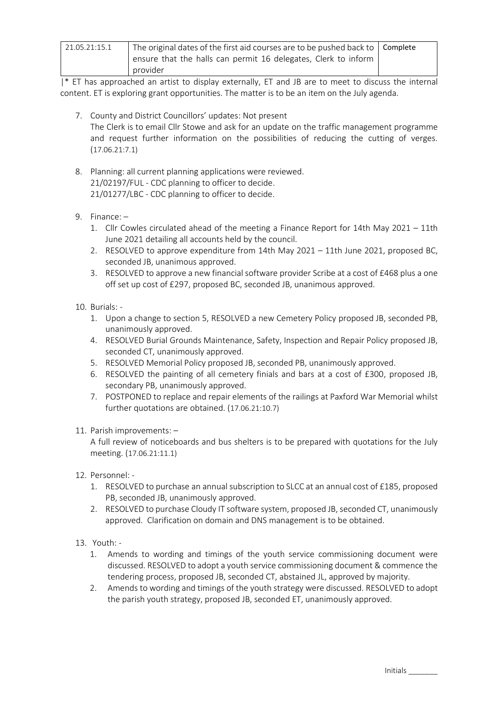| 21.05.21:15.1 | The original dates of the first aid courses are to be pushed back to   Complete<br>ensure that the halls can permit 16 delegates, Clerk to inform<br>provider |  |
|---------------|---------------------------------------------------------------------------------------------------------------------------------------------------------------|--|
|---------------|---------------------------------------------------------------------------------------------------------------------------------------------------------------|--|

|\* ET has approached an artist to display externally, ET and JB are to meet to discuss the internal content. ET is exploring grant opportunities. The matter is to be an item on the July agenda.

- 7. County and District Councillors' updates: Not present The Clerk is to email Cllr Stowe and ask for an update on the traffic management programme and request further information on the possibilities of reducing the cutting of verges. (17.06.21:7.1)
- 8. Planning: all current planning applications were reviewed. 21/02197/FUL - CDC planning to officer to decide. 21/01277/LBC - CDC planning to officer to decide.
- 9. Finance:
	- 1. Cllr Cowles circulated ahead of the meeting a Finance Report for 14th May 2021 11th June 2021 detailing all accounts held by the council.
	- 2. RESOLVED to approve expenditure from 14th May 2021 11th June 2021, proposed BC, seconded JB, unanimous approved.
	- 3. RESOLVED to approve a new financial software provider Scribe at a cost of £468 plus a one off set up cost of £297, proposed BC, seconded JB, unanimous approved.
- 10. Burials:
	- 1. Upon a change to section 5, RESOLVED a new Cemetery Policy proposed JB, seconded PB, unanimously approved.
	- 4. RESOLVED Burial Grounds Maintenance, Safety, Inspection and Repair Policy proposed JB, seconded CT, unanimously approved.
	- 5. RESOLVED Memorial Policy proposed JB, seconded PB, unanimously approved.
	- 6. RESOLVED the painting of all cemetery finials and bars at a cost of £300, proposed JB, secondary PB, unanimously approved.
	- 7. POSTPONED to replace and repair elements of the railings at Paxford War Memorial whilst further quotations are obtained. (17.06.21:10.7)

## 11. Parish improvements: –

A full review of noticeboards and bus shelters is to be prepared with quotations for the July meeting. (17.06.21:11.1)

- 12. Personnel:
	- 1. RESOLVED to purchase an annual subscription to SLCC at an annual cost of £185, proposed PB, seconded JB, unanimously approved.
	- 2. RESOLVED to purchase Cloudy IT software system, proposed JB, seconded CT, unanimously approved. Clarification on domain and DNS management is to be obtained.
- 13. Youth:
	- 1. Amends to wording and timings of the youth service commissioning document were discussed. RESOLVED to adopt a youth service commissioning document & commence the tendering process, proposed JB, seconded CT, abstained JL, approved by majority.
	- 2. Amends to wording and timings of the youth strategy were discussed. RESOLVED to adopt the parish youth strategy, proposed JB, seconded ET, unanimously approved.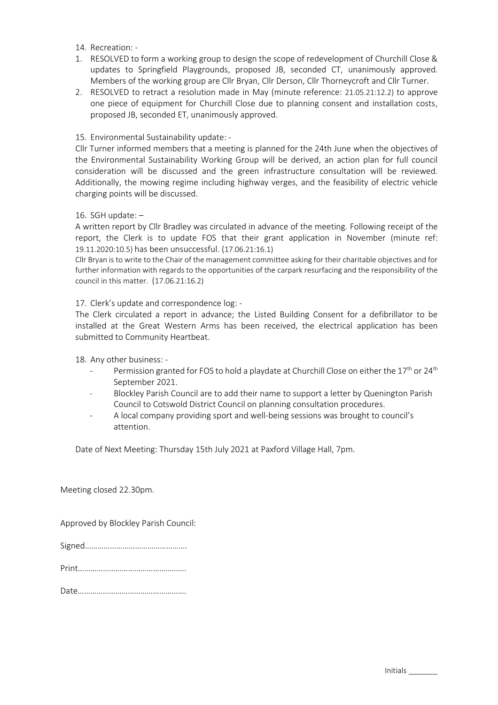14. Recreation: -

- 1. RESOLVED to form a working group to design the scope of redevelopment of Churchill Close & updates to Springfield Playgrounds, proposed JB, seconded CT, unanimously approved. Members of the working group are Cllr Bryan, Cllr Derson, Cllr Thorneycroft and Cllr Turner.
- 2. RESOLVED to retract a resolution made in May (minute reference: 21.05.21:12.2) to approve one piece of equipment for Churchill Close due to planning consent and installation costs, proposed JB, seconded ET, unanimously approved.
- 15. Environmental Sustainability update: -

Cllr Turner informed members that a meeting is planned for the 24th June when the objectives of the Environmental Sustainability Working Group will be derived, an action plan for full council consideration will be discussed and the green infrastructure consultation will be reviewed. Additionally, the mowing regime including highway verges, and the feasibility of electric vehicle charging points will be discussed.

16. SGH update: –

A written report by Cllr Bradley was circulated in advance of the meeting. Following receipt of the report, the Clerk is to update FOS that their grant application in November (minute ref: 19.11.2020:10.5) has been unsuccessful. (17.06.21:16.1)

Cllr Bryan is to write to the Chair of the management committee asking for their charitable objectives and for further information with regards to the opportunities of the carpark resurfacing and the responsibility of the council in this matter. (17.06.21:16.2)

## 17. Clerk's update and correspondence log: -

The Clerk circulated a report in advance; the Listed Building Consent for a defibrillator to be installed at the Great Western Arms has been received, the electrical application has been submitted to Community Heartbeat.

18. Any other business: -

- Permission granted for FOS to hold a playdate at Churchill Close on either the 17<sup>th</sup> or 24<sup>th</sup> September 2021.
- Blockley Parish Council are to add their name to support a letter by Quenington Parish Council to Cotswold District Council on planning consultation procedures.
- A local company providing sport and well-being sessions was brought to council's attention.

Date of Next Meeting: Thursday 15th July 2021 at Paxford Village Hall, 7pm.

Meeting closed 22.30pm.

Approved by Blockley Parish Council:

|--|--|

Print…………………………………………….

Date…………………………………………….